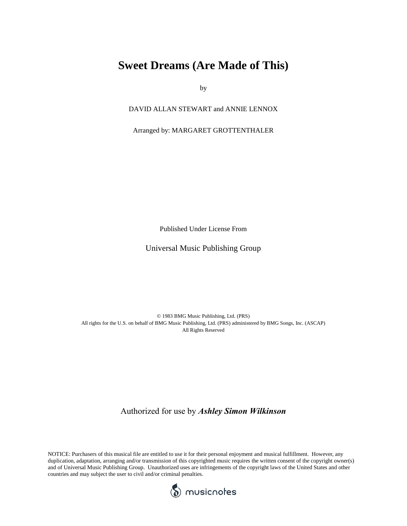## **Sweet Dreams (Are Made of This)**

by

DAVID ALLAN STEWART and ANNIE LENNOX

Arranged by: MARGARET GROTTENTHALER

Published Under License From

## Universal Music Publishing Group

© 1983 BMG Music Publishing, Ltd. (PRS) All rights for the U.S. on behalf of BMG Music Publishing, Ltd. (PRS) administered by BMG Songs, Inc. (ASCAP) All Rights Reserved

## Authorized for use by *Ashley Simon Wilkinson*

NOTICE: Purchasers of this musical file are entitled to use it for their personal enjoyment and musical fulfillment. However, any duplication, adaptation, arranging and/or transmission of this copyrighted music requires the written consent of the copyright owner(s) and of Universal Music Publishing Group. Unauthorized uses are infringements of the copyright laws of the United States and other countries and may subject the user to civil and/or criminal penalties.

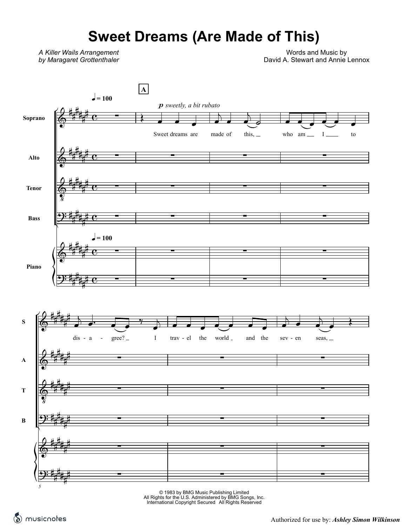## **Sweet Dreams (Are Made of This)**

*A Killer Wails Arrangement by Maragaret Grottenthaler*

Words and Music by David A. Stewart and Annie Lennox



© 1983 by BMG Music Publishing Limited All Rights for the U.S. Administered by BMG Songs, Inc. International Copyright Secured All Rights Reserved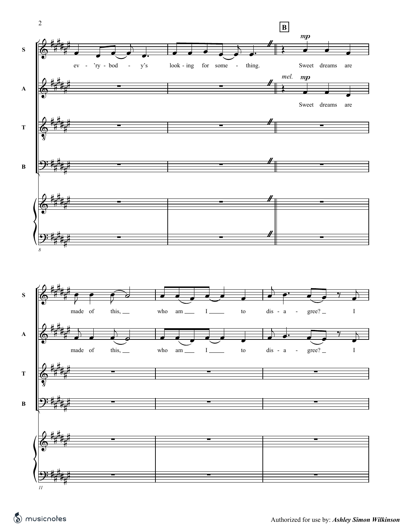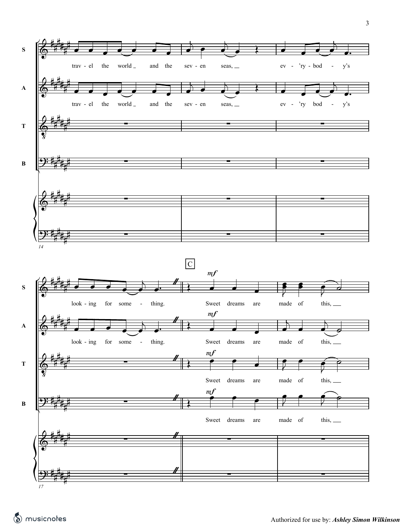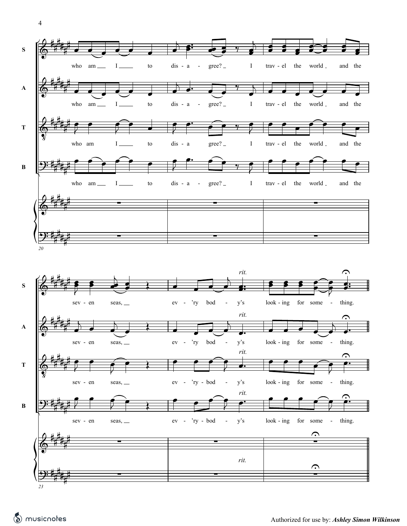

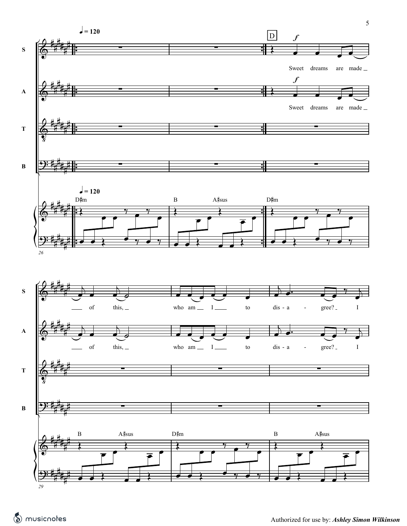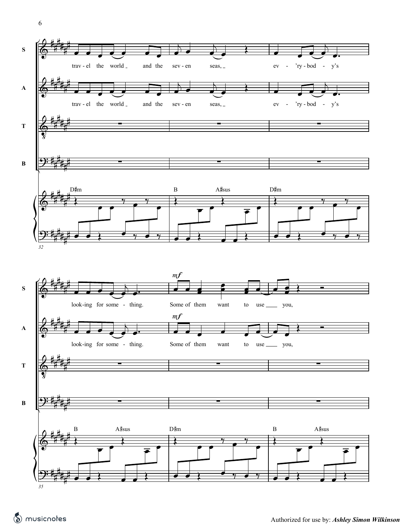

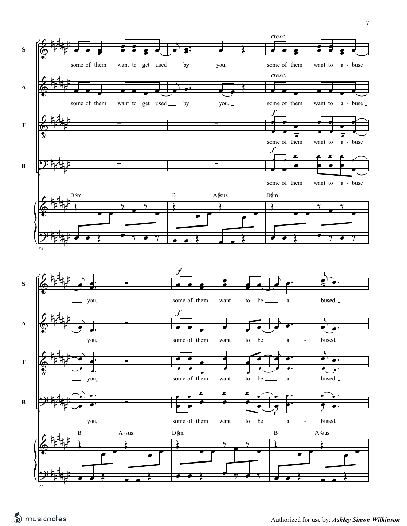*cresc.* **S** by you, some of them want to get used some of them want to a - buse *cresc.* **A** some of them want to get used <u>s</u> by you, some of them want to a - buse **T** some of them want to a - buse  $\boldsymbol{f}$ **B** some of them want to a - buse  $D \parallel m$ B  $A$  sus D#m  $\overline{\mathbf{y}}$ *38* **S** you, want bused. . to be a some of them  $\boldsymbol{f}$ **A** you, be bused. \_ some of them want to a **T** you, want to be a bused. . some of them **B** bused. \_ you, want to be a some of them B  $\mathbf{A}$  is<br>us  $D \parallel m$ B  $\mathbf{A}$  is<br>us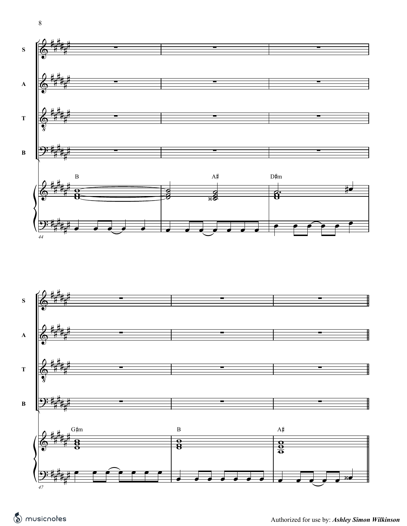

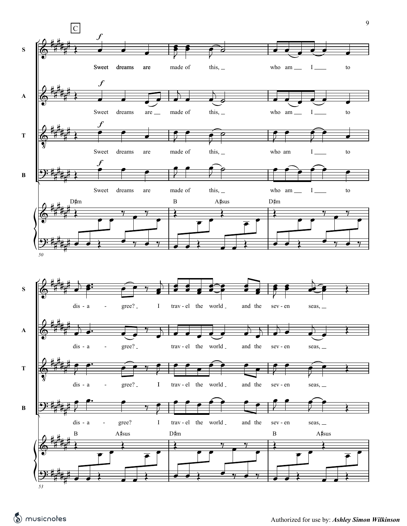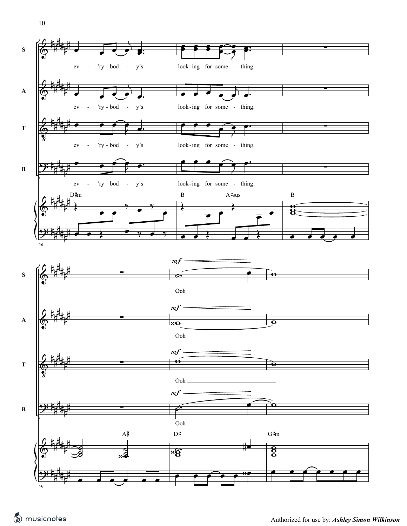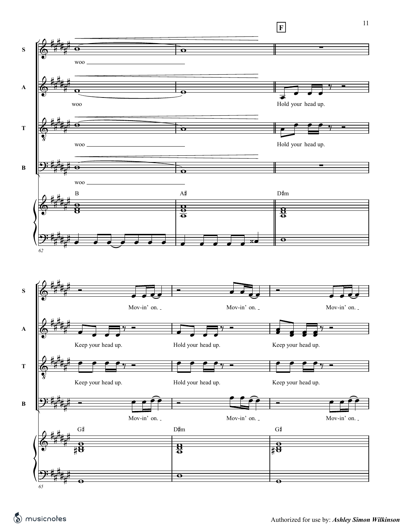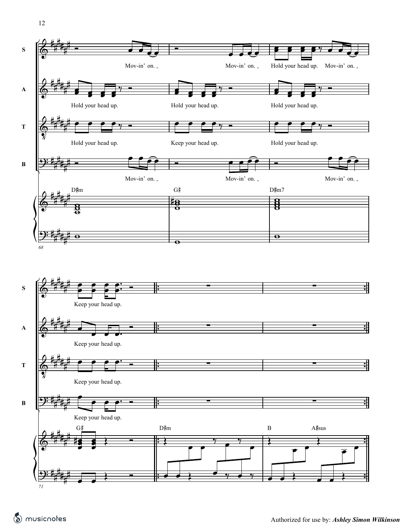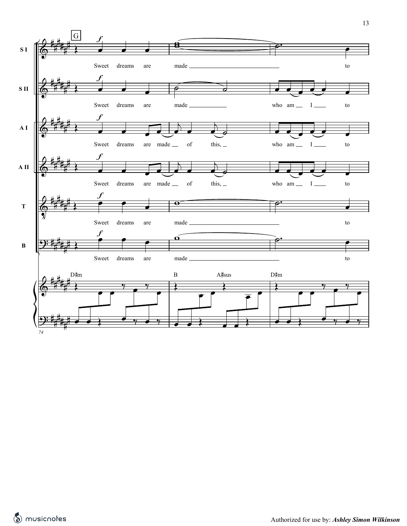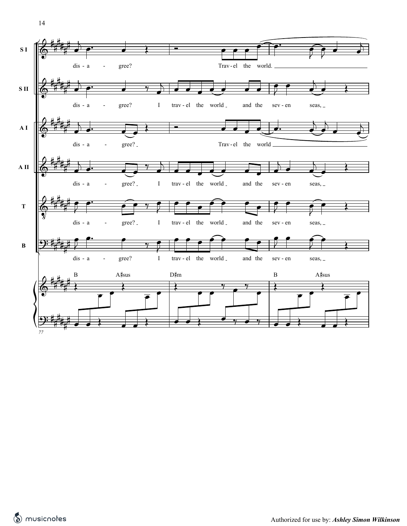

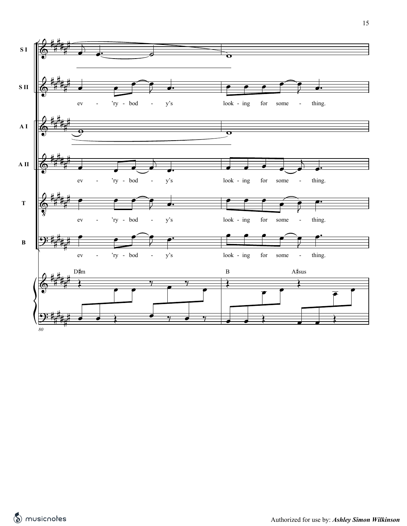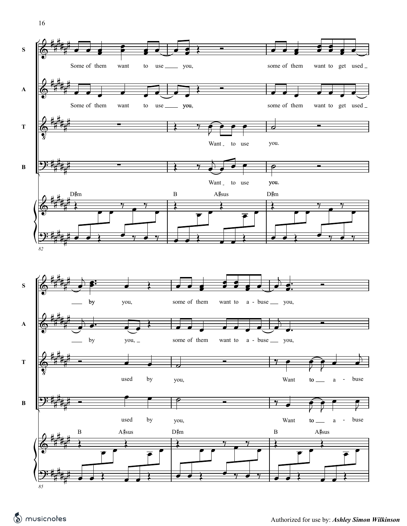

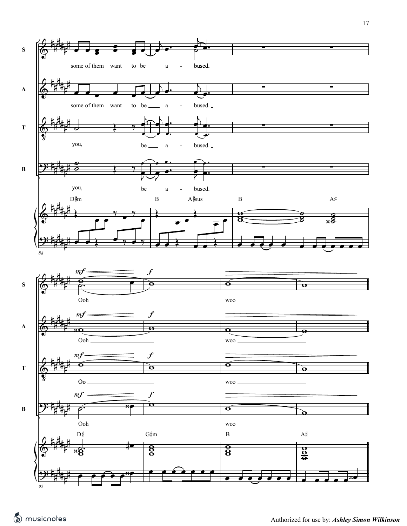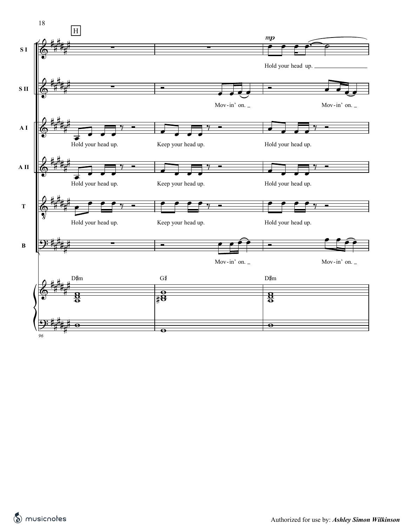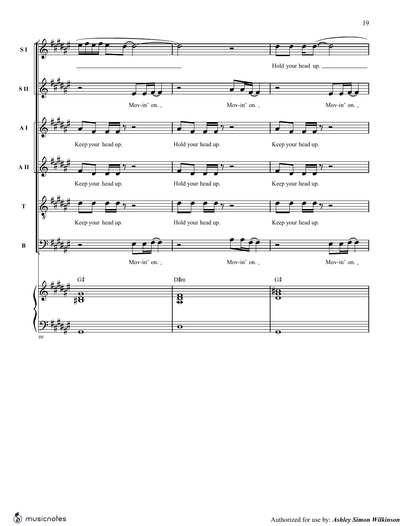![](_page_19_Figure_0.jpeg)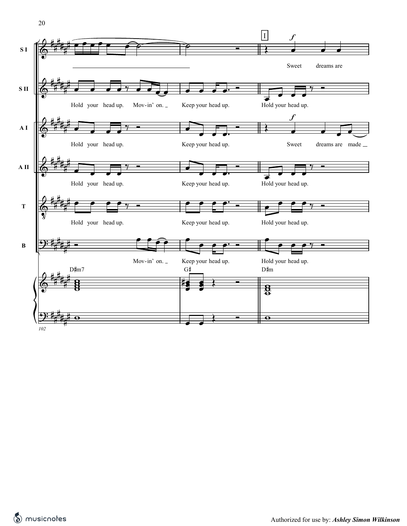![](_page_20_Figure_0.jpeg)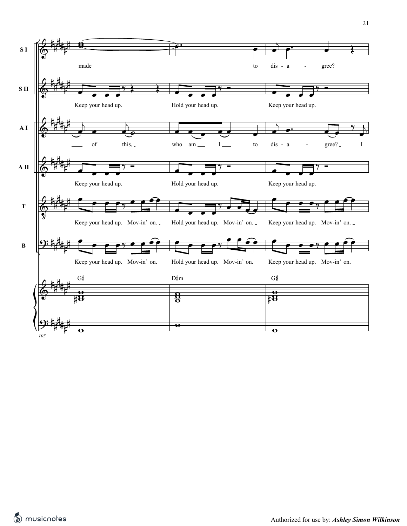![](_page_21_Figure_0.jpeg)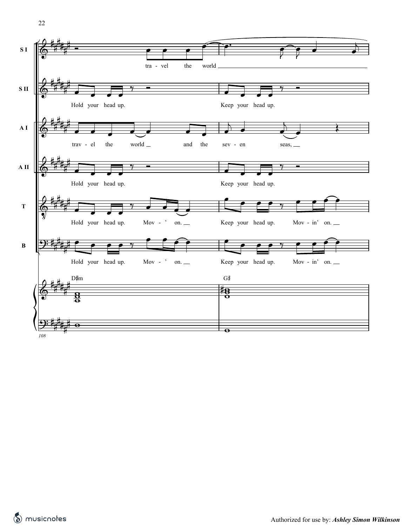![](_page_22_Figure_0.jpeg)

![](_page_22_Figure_1.jpeg)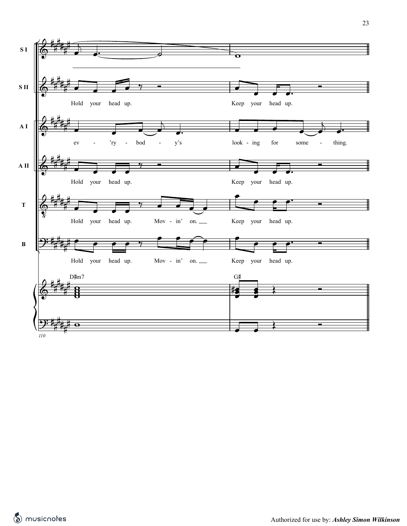![](_page_23_Figure_0.jpeg)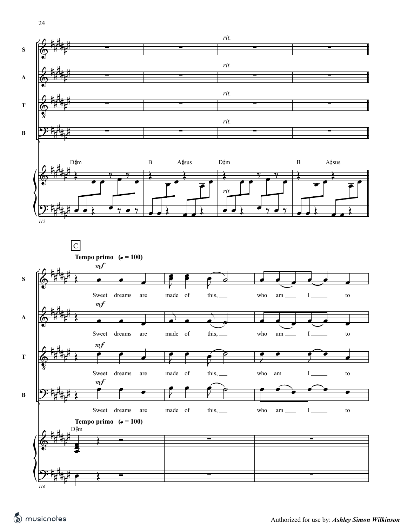![](_page_24_Figure_0.jpeg)

![](_page_24_Figure_1.jpeg)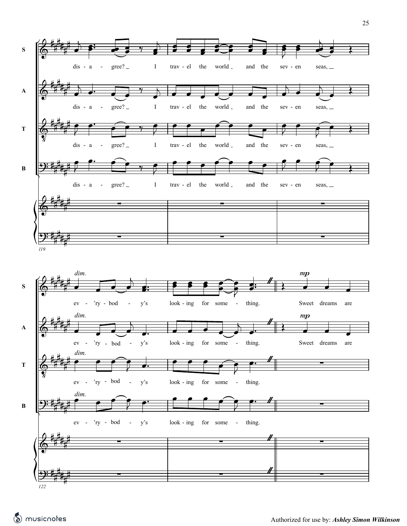![](_page_25_Figure_0.jpeg)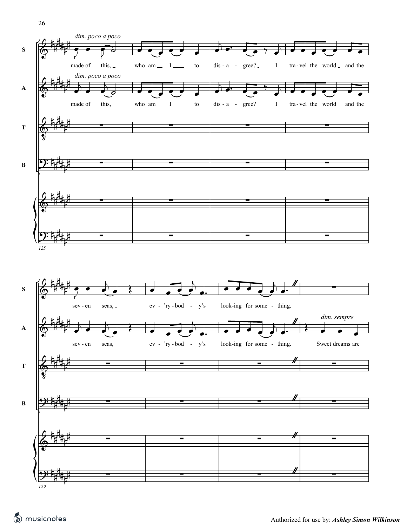![](_page_26_Figure_1.jpeg)